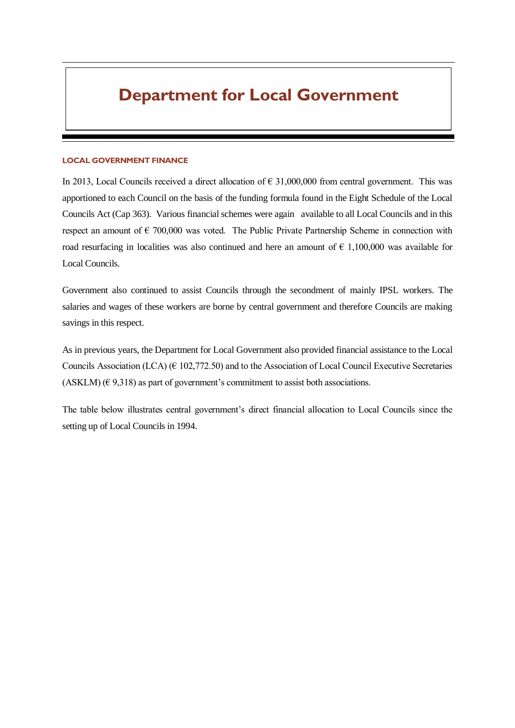# **Department for Local Government**

#### **LOCAL GOVERNMENT FINANCE**

In 2013, Local Councils received a direct allocation of  $\epsilon$  31,000,000 from central government. This was apportioned to each Council on the basis of the funding formula found in the Eight Schedule of the Local Councils Act (Cap 363). Various financial schemes were again available to all Local Councils and in this respect an amount of  $\epsilon$  700,000 was voted. The Public Private Partnership Scheme in connection with road resurfacing in localities was also continued and here an amount of  $\epsilon$  1,100,000 was available for Local Councils.

Government also continued to assist Councils through the secondment of mainly IPSL workers. The salaries and wages of these workers are borne by central government and therefore Councils are making savings in this respect.

As in previous years, the Department for Local Government also provided financial assistance to the Local Councils Association (LCA) ( $\in$  102,772.50) and to the Association of Local Council Executive Secretaries (ASKLM)  $(\in 9,318)$  as part of government's commitment to assist both associations.

The table below illustrates central government's direct financial allocation to Local Councils since the setting up of Local Councils in 1994.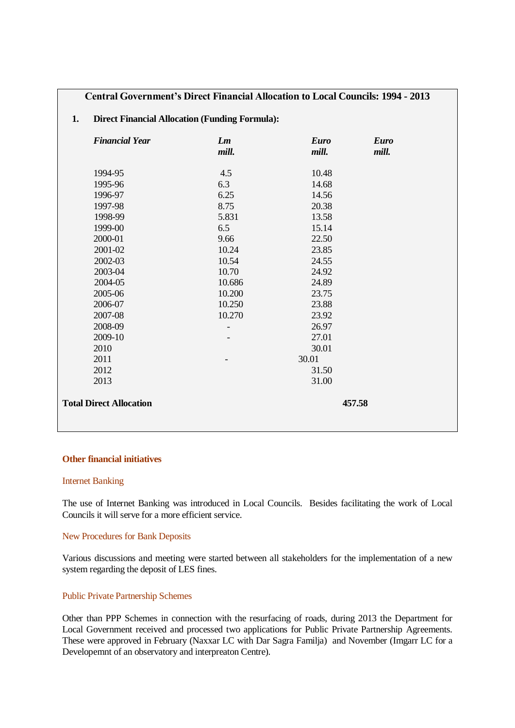# **Central Government's Direct Financial Allocation to Local Councils: 1994 - 2013**

# **1. Direct Financial Allocation (Funding Formula):**

| <b>Financial Year</b>          | Lm<br>mill. | <b>Euro</b><br>mill. | <b>Euro</b><br>mill. |  |
|--------------------------------|-------------|----------------------|----------------------|--|
| 1994-95                        | 4.5         | 10.48                |                      |  |
| 1995-96                        | 6.3         | 14.68                |                      |  |
| 1996-97                        | 6.25        | 14.56                |                      |  |
| 1997-98                        | 8.75        | 20.38                |                      |  |
| 1998-99                        | 5.831       | 13.58                |                      |  |
| 1999-00                        | 6.5         | 15.14                |                      |  |
| 2000-01                        | 9.66        | 22.50                |                      |  |
| 2001-02                        | 10.24       | 23.85                |                      |  |
| 2002-03                        | 10.54       | 24.55                |                      |  |
| 2003-04                        | 10.70       | 24.92                |                      |  |
| 2004-05                        | 10.686      | 24.89                |                      |  |
| 2005-06                        | 10.200      | 23.75                |                      |  |
| 2006-07                        | 10.250      | 23.88                |                      |  |
| 2007-08                        | 10.270      | 23.92                |                      |  |
| 2008-09                        |             | 26.97                |                      |  |
| 2009-10                        |             | 27.01                |                      |  |
| 2010                           |             | 30.01                |                      |  |
| 2011                           |             | 30.01                |                      |  |
| 2012                           |             | 31.50                |                      |  |
| 2013                           |             | 31.00                |                      |  |
| <b>Total Direct Allocation</b> |             |                      | 457.58               |  |

## **Other financial initiatives**

#### Internet Banking

The use of Internet Banking was introduced in Local Councils. Besides facilitating the work of Local Councils it will serve for a more efficient service.

# New Procedures for Bank Deposits

Various discussions and meeting were started between all stakeholders for the implementation of a new system regarding the deposit of LES fines.

# Public Private Partnership Schemes

Other than PPP Schemes in connection with the resurfacing of roads, during 2013 the Department for Local Government received and processed two applications for Public Private Partnership Agreements. These were approved in February (Naxxar LC with Dar Sagra Familja) and November (Imgarr LC for a Developemnt of an observatory and interpreaton Centre).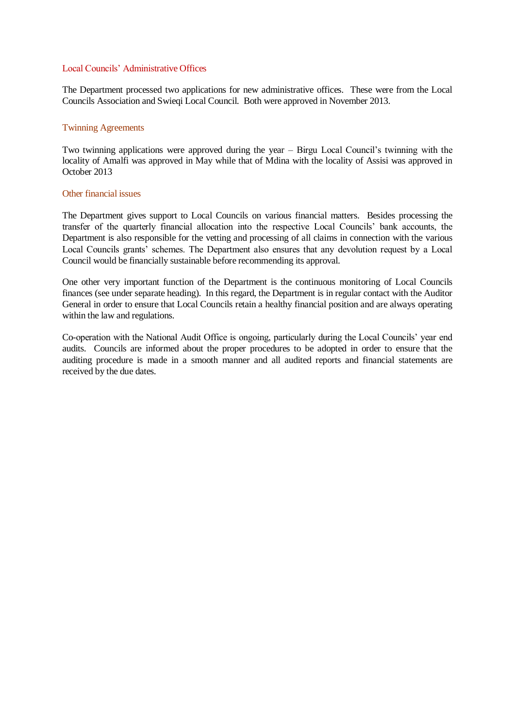# Local Councils' Administrative Offices

The Department processed two applications for new administrative offices. These were from the Local Councils Association and Swieqi Local Council. Both were approved in November 2013.

## Twinning Agreements

Two twinning applications were approved during the year – Birgu Local Council's twinning with the locality of Amalfi was approved in May while that of Mdina with the locality of Assisi was approved in October 2013

### Other financial issues

The Department gives support to Local Councils on various financial matters. Besides processing the transfer of the quarterly financial allocation into the respective Local Councils' bank accounts, the Department is also responsible for the vetting and processing of all claims in connection with the various Local Councils grants' schemes. The Department also ensures that any devolution request by a Local Council would be financially sustainable before recommending its approval.

One other very important function of the Department is the continuous monitoring of Local Councils finances (see under separate heading). In this regard, the Department is in regular contact with the Auditor General in order to ensure that Local Councils retain a healthy financial position and are always operating within the law and regulations.

Co-operation with the National Audit Office is ongoing, particularly during the Local Councils' year end audits. Councils are informed about the proper procedures to be adopted in order to ensure that the auditing procedure is made in a smooth manner and all audited reports and financial statements are received by the due dates.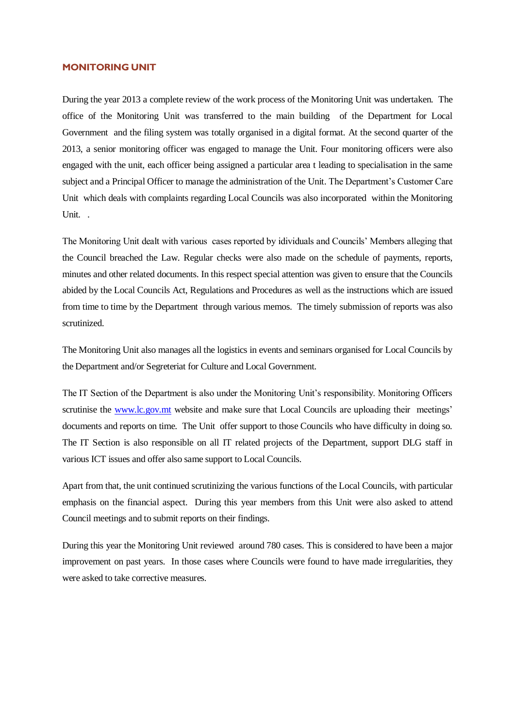#### **MONITORING UNIT**

During the year 2013 a complete review of the work process of the Monitoring Unit was undertaken. The office of the Monitoring Unit was transferred to the main building of the Department for Local Government and the filing system was totally organised in a digital format. At the second quarter of the 2013, a senior monitoring officer was engaged to manage the Unit. Four monitoring officers were also engaged with the unit, each officer being assigned a particular area t leading to specialisation in the same subject and a Principal Officer to manage the administration of the Unit. The Department's Customer Care Unit which deals with complaints regarding Local Councils was also incorporated within the Monitoring Unit. .

The Monitoring Unit dealt with various cases reported by idividuals and Councils' Members alleging that the Council breached the Law. Regular checks were also made on the schedule of payments, reports, minutes and other related documents. In this respect special attention was given to ensure that the Councils abided by the Local Councils Act, Regulations and Procedures as well as the instructions which are issued from time to time by the Department through various memos. The timely submission of reports was also scrutinized.

The Monitoring Unit also manages all the logistics in events and seminars organised for Local Councils by the Department and/or Segreteriat for Culture and Local Government.

The IT Section of the Department is also under the Monitoring Unit's responsibility. Monitoring Officers scrutinise the [www.lc.gov.mt](http://www.lc.gov.mt/) website and make sure that Local Councils are uploading their meetings' documents and reports on time. The Unit offer support to those Councils who have difficulty in doing so. The IT Section is also responsible on all IT related projects of the Department, support DLG staff in various ICT issues and offer also same support to Local Councils.

Apart from that, the unit continued scrutinizing the various functions of the Local Councils, with particular emphasis on the financial aspect. During this year members from this Unit were also asked to attend Council meetings and to submit reports on their findings.

During this year the Monitoring Unit reviewed around 780 cases. This is considered to have been a major improvement on past years. In those cases where Councils were found to have made irregularities, they were asked to take corrective measures.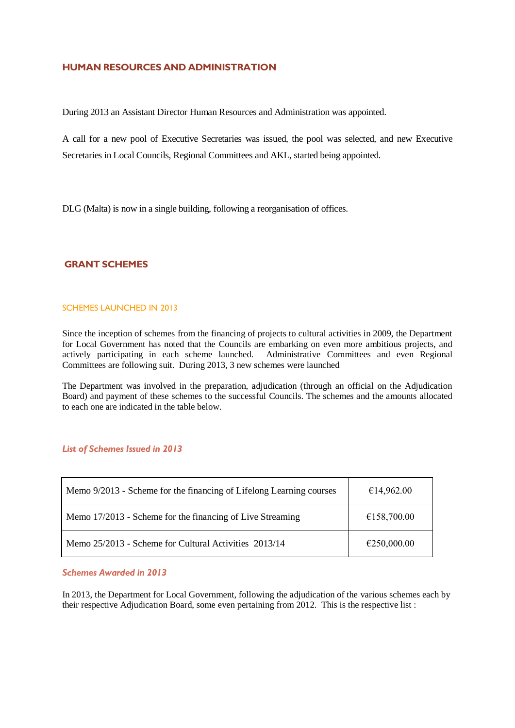# **HUMAN RESOURCES AND ADMINISTRATION**

During 2013 an Assistant Director Human Resources and Administration was appointed.

A call for a new pool of Executive Secretaries was issued, the pool was selected, and new Executive Secretaries in Local Councils, Regional Committees and AKL, started being appointed.

DLG (Malta) is now in a single building, following a reorganisation of offices.

# **GRANT SCHEMES**

#### SCHEMES LAUNCHED IN 2013

Since the inception of schemes from the financing of projects to cultural activities in 2009, the Department for Local Government has noted that the Councils are embarking on even more ambitious projects, and actively participating in each scheme launched. Administrative Committees and even Regional Committees are following suit. During 2013, 3 new schemes were launched

The Department was involved in the preparation, adjudication (through an official on the Adjudication Board) and payment of these schemes to the successful Councils. The schemes and the amounts allocated to each one are indicated in the table below.

# *List of Schemes Issued in 2013*

| Memo 9/2013 - Scheme for the financing of Lifelong Learning courses | €14,962.00  |  |  |  |
|---------------------------------------------------------------------|-------------|--|--|--|
| Memo 17/2013 - Scheme for the financing of Live Streaming           | €158,700.00 |  |  |  |
| Memo 25/2013 - Scheme for Cultural Activities 2013/14               | €250,000.00 |  |  |  |

## *Schemes Awarded in 2013*

In 2013, the Department for Local Government, following the adjudication of the various schemes each by their respective Adjudication Board, some even pertaining from 2012. This is the respective list :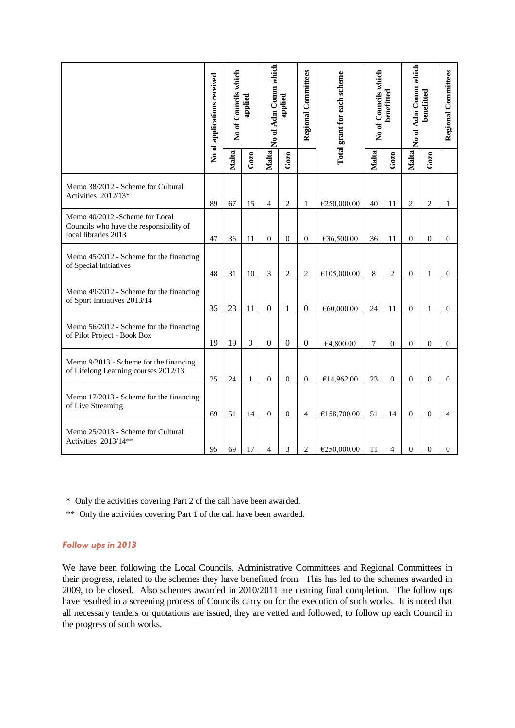|                                                                                                   | No of applications received | which<br>No of Councils<br>applied |                  | No of Adm Comm which<br>applied |                  | <b>Regional Committees</b> | Total grant for each scheme | No of Councils which<br>benefitted |                | No of Adm Comm which<br>benefitted |                | Regional Committees |
|---------------------------------------------------------------------------------------------------|-----------------------------|------------------------------------|------------------|---------------------------------|------------------|----------------------------|-----------------------------|------------------------------------|----------------|------------------------------------|----------------|---------------------|
|                                                                                                   |                             | Malta                              | Gozo             | Malta                           | $G$ 0Z0          |                            |                             | Malta                              | Gozo           | Malta                              | $G$ ozo        |                     |
| Memo 38/2012 - Scheme for Cultural<br>Activities 2012/13*                                         | 89                          | 67                                 | 15               | 4                               | $\overline{2}$   | $\mathbf{1}$               | €250,000.00                 | 40                                 | 11             | $\overline{c}$                     | $\overline{c}$ | 1                   |
| Memo 40/2012 -Scheme for Local<br>Councils who have the responsibility of<br>local libraries 2013 | 47                          | 36                                 | 11               | $\boldsymbol{0}$                | $\boldsymbol{0}$ | $\boldsymbol{0}$           | €36,500.00                  | 36                                 | 11             | $\overline{0}$                     | $\mathbf{0}$   | $\overline{0}$      |
| Memo 45/2012 - Scheme for the financing<br>of Special Initiatives                                 | 48                          | 31                                 | 10               | 3                               | $\sqrt{2}$       | $\sqrt{2}$                 | €105,000.00                 | 8                                  | $\mathfrak{2}$ | $\mathbf{0}$                       | $\mathbf{1}$   | $\overline{0}$      |
| Memo 49/2012 - Scheme for the financing<br>of Sport Initiatives 2013/14                           | 35                          | 23                                 | 11               | $\boldsymbol{0}$                | $\mathbf{1}$     | $\boldsymbol{0}$           | €60,000.00                  | 24                                 | 11             | $\overline{0}$                     | 1              | $\overline{0}$      |
| Memo 56/2012 - Scheme for the financing<br>of Pilot Project - Book Box                            | 19                          | 19                                 | $\boldsymbol{0}$ | $\boldsymbol{0}$                | $\boldsymbol{0}$ | $\boldsymbol{0}$           | €4,800.00                   | 7                                  | $\theta$       | $\theta$                           | $\theta$       | $\boldsymbol{0}$    |
| Memo 9/2013 - Scheme for the financing<br>of Lifelong Learning courses 2012/13                    | 25                          | 24                                 | $\mathbf{1}$     | $\overline{0}$                  | $\boldsymbol{0}$ | $\boldsymbol{0}$           | €14,962.00                  | 23                                 | $\mathbf{0}$   | $\mathbf{0}$                       | $\overline{0}$ | $\overline{0}$      |
| Memo 17/2013 - Scheme for the financing<br>of Live Streaming                                      | 69                          | 51                                 | 14               | $\boldsymbol{0}$                | $\boldsymbol{0}$ | $\overline{4}$             | €158,700.00                 | 51                                 | 14             | $\mathbf{0}$                       | $\mathbf{0}$   | 4                   |
| Memo 25/2013 - Scheme for Cultural<br>Activities 2013/14**                                        | 95                          | 69                                 | 17               | $\overline{4}$                  | 3                | $\overline{c}$             | €250,000.00                 | 11                                 | $\overline{4}$ | $\mathbf{0}$                       | $\overline{0}$ | $\overline{0}$      |

\* Only the activities covering Part 2 of the call have been awarded.

\*\* Only the activities covering Part 1 of the call have been awarded.

# *Follow ups in 2013*

We have been following the Local Councils, Administrative Committees and Regional Committees in their progress, related to the schemes they have benefitted from. This has led to the schemes awarded in 2009, to be closed. Also schemes awarded in 2010/2011 are nearing final completion. The follow ups have resulted in a screening process of Councils carry on for the execution of such works. It is noted that all necessary tenders or quotations are issued, they are vetted and followed, to follow up each Council in the progress of such works.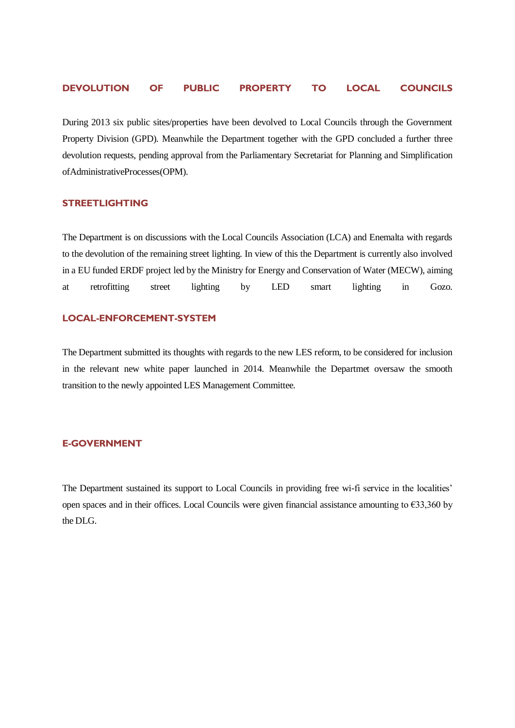# **DEVOLUTION OF PUBLIC PROPERTY TO LOCAL COUNCILS**

During 2013 six public sites/properties have been devolved to Local Councils through the Government Property Division (GPD). Meanwhile the Department together with the GPD concluded a further three devolution requests, pending approval from the Parliamentary Secretariat for Planning and Simplification ofAdministrativeProcesses(OPM).

# **STREETLIGHTING**

The Department is on discussions with the Local Councils Association (LCA) and Enemalta with regards to the devolution of the remaining street lighting. In view of this the Department is currently also involved in a EU funded ERDF project led by the Ministry for Energy and Conservation of Water (MECW), aiming at retrofitting street lighting by LED smart lighting in Gozo.

## **LOCAL-ENFORCEMENT-SYSTEM**

The Department submitted its thoughts with regards to the new LES reform, to be considered for inclusion in the relevant new white paper launched in 2014. Meanwhile the Departmet oversaw the smooth transition to the newly appointed LES Management Committee.

# **E-GOVERNMENT**

The Department sustained its support to Local Councils in providing free wi-fi service in the localities' open spaces and in their offices. Local Councils were given financial assistance amounting to €33,360 by the DLG.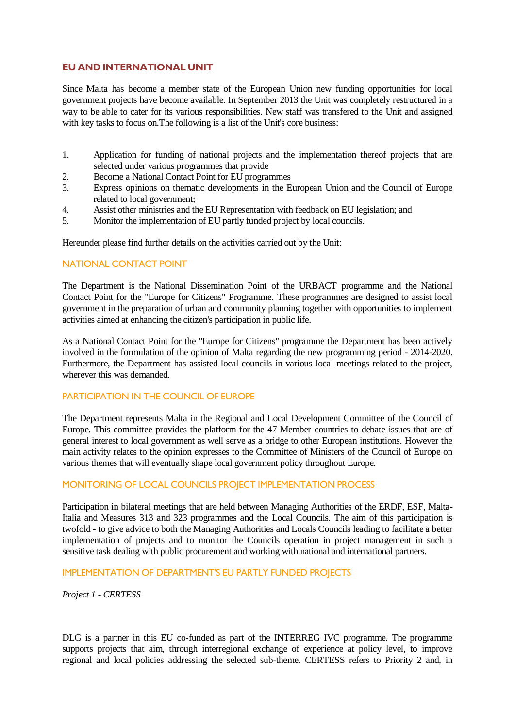# **EU AND INTERNATIONAL UNIT**

Since Malta has become a member state of the European Union new funding opportunities for local government projects have become available. In September 2013 the Unit was completely restructured in a way to be able to cater for its various responsibilities. New staff was transfered to the Unit and assigned with key tasks to focus on. The following is a list of the Unit's core business:

- 1. Application for funding of national projects and the implementation thereof projects that are selected under various programmes that provide
- 2. Become a National Contact Point for EU programmes
- 3. Express opinions on thematic developments in the European Union and the Council of Europe related to local government;
- 4. Assist other ministries and the EU Representation with feedback on EU legislation; and
- 5. Monitor the implementation of EU partly funded project by local councils.

Hereunder please find further details on the activities carried out by the Unit:

# NATIONAL CONTACT POINT

The Department is the National Dissemination Point of the URBACT programme and the National Contact Point for the "Europe for Citizens" Programme. These programmes are designed to assist local government in the preparation of urban and community planning together with opportunities to implement activities aimed at enhancing the citizen's participation in public life.

As a National Contact Point for the "Europe for Citizens" programme the Department has been actively involved in the formulation of the opinion of Malta regarding the new programming period - 2014-2020. Furthermore, the Department has assisted local councils in various local meetings related to the project, wherever this was demanded.

# PARTICIPATION IN THE COUNCIL OF FUROPE

The Department represents Malta in the Regional and Local Development Committee of the Council of Europe. This committee provides the platform for the 47 Member countries to debate issues that are of general interest to local government as well serve as a bridge to other European institutions. However the main activity relates to the opinion expresses to the Committee of Ministers of the Council of Europe on various themes that will eventually shape local government policy throughout Europe.

# MONITORING OF LOCAL COUNCILS PROJECT IMPLEMENTATION PROCESS

Participation in bilateral meetings that are held between Managing Authorities of the ERDF, ESF, Malta-Italia and Measures 313 and 323 programmes and the Local Councils. The aim of this participation is twofold - to give advice to both the Managing Authorities and Locals Councils leading to facilitate a better implementation of projects and to monitor the Councils operation in project management in such a sensitive task dealing with public procurement and working with national and international partners.

# IMPLEMENTATION OF DEPARTMENT'S EU PARTLY FUNDED PROJECTS

*Project 1 - CERTESS*

DLG is a partner in this EU co-funded as part of the INTERREG IVC programme. The programme supports projects that aim, through interregional exchange of experience at policy level, to improve regional and local policies addressing the selected sub-theme. CERTESS refers to Priority 2 and, in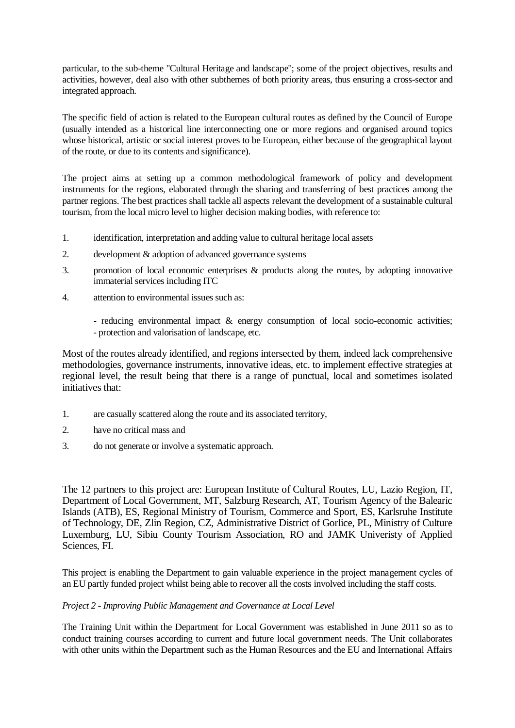particular, to the sub-theme "Cultural Heritage and landscape"; some of the project objectives, results and activities, however, deal also with other subthemes of both priority areas, thus ensuring a cross-sector and integrated approach.

The specific field of action is related to the European cultural routes as defined by the Council of Europe (usually intended as a historical line interconnecting one or more regions and organised around topics whose historical, artistic or social interest proves to be European, either because of the geographical layout of the route, or due to its contents and significance).

The project aims at setting up a common methodological framework of policy and development instruments for the regions, elaborated through the sharing and transferring of best practices among the partner regions. The best practices shall tackle all aspects relevant the development of a sustainable cultural tourism, from the local micro level to higher decision making bodies, with reference to:

- 1. identification, interpretation and adding value to cultural heritage local assets
- 2. development & adoption of advanced governance systems
- 3. promotion of local economic enterprises & products along the routes, by adopting innovative immaterial services including ITC
- 4. attention to environmental issues such as:
	- reducing environmental impact & energy consumption of local socio-economic activities; - protection and valorisation of landscape, etc.

Most of the routes already identified, and regions intersected by them, indeed lack comprehensive methodologies, governance instruments, innovative ideas, etc. to implement effective strategies at regional level, the result being that there is a range of punctual, local and sometimes isolated initiatives that:

- 1. are casually scattered along the route and its associated territory,
- 2. have no critical mass and
- 3. do not generate or involve a systematic approach.

The 12 partners to this project are: European Institute of Cultural Routes, LU, Lazio Region, IT, Department of Local Government, MT, Salzburg Research, AT, Tourism Agency of the Balearic Islands (ATB), ES, Regional Ministry of Tourism, Commerce and Sport, ES, Karlsruhe Institute of Technology, DE, Zlin Region, CZ, Administrative District of Gorlice, PL, Ministry of Culture Luxemburg, LU, Sibiu County Tourism Association, RO and JAMK Univeristy of Applied Sciences, FI.

This project is enabling the Department to gain valuable experience in the project management cycles of an EU partly funded project whilst being able to recover all the costs involved including the staff costs.

# *Project 2 - Improving Public Management and Governance at Local Level*

The Training Unit within the Department for Local Government was established in June 2011 so as to conduct training courses according to current and future local government needs. The Unit collaborates with other units within the Department such as the Human Resources and the EU and International Affairs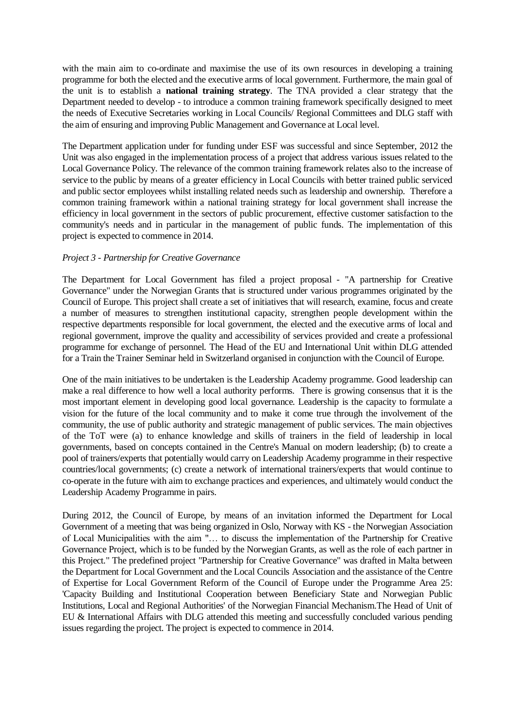with the main aim to co-ordinate and maximise the use of its own resources in developing a training programme for both the elected and the executive arms of local government. Furthermore, the main goal of the unit is to establish a **national training strategy**. The TNA provided a clear strategy that the Department needed to develop - to introduce a common training framework specifically designed to meet the needs of Executive Secretaries working in Local Councils/ Regional Committees and DLG staff with the aim of ensuring and improving Public Management and Governance at Local level.

The Department application under for funding under ESF was successful and since September, 2012 the Unit was also engaged in the implementation process of a project that address various issues related to the Local Governance Policy. The relevance of the common training framework relates also to the increase of service to the public by means of a greater efficiency in Local Councils with better trained public serviced and public sector employees whilst installing related needs such as leadership and ownership. Therefore a common training framework within a national training strategy for local government shall increase the efficiency in local government in the sectors of public procurement, effective customer satisfaction to the community's needs and in particular in the management of public funds. The implementation of this project is expected to commence in 2014.

# *Project 3 - Partnership for Creative Governance*

The Department for Local Government has filed a project proposal - "A partnership for Creative Governance" under the Norwegian Grants that is structured under various programmes originated by the Council of Europe. This project shall create a set of initiatives that will research, examine, focus and create a number of measures to strengthen institutional capacity, strengthen people development within the respective departments responsible for local government, the elected and the executive arms of local and regional government, improve the quality and accessibility of services provided and create a professional programme for exchange of personnel. The Head of the EU and International Unit within DLG attended for a Train the Trainer Seminar held in Switzerland organised in conjunction with the Council of Europe.

One of the main initiatives to be undertaken is the Leadership Academy programme. Good leadership can make a real difference to how well a local authority performs. There is growing consensus that it is the most important element in developing good local governance. Leadership is the capacity to formulate a vision for the future of the local community and to make it come true through the involvement of the community, the use of public authority and strategic management of public services. The main objectives of the ToT were (a) to enhance knowledge and skills of trainers in the field of leadership in local governments, based on concepts contained in the Centre's Manual on modern leadership; (b) to create a pool of trainers/experts that potentially would carry on Leadership Academy programme in their respective countries/local governments; (c) create a network of international trainers/experts that would continue to co-operate in the future with aim to exchange practices and experiences, and ultimately would conduct the Leadership Academy Programme in pairs.

During 2012, the Council of Europe, by means of an invitation informed the Department for Local Government of a meeting that was being organized in Oslo, Norway with KS - the Norwegian Association of Local Municipalities with the aim "… to discuss the implementation of the Partnership for Creative Governance Project, which is to be funded by the Norwegian Grants, as well as the role of each partner in this Project." The predefined project "Partnership for Creative Governance" was drafted in Malta between the Department for Local Government and the Local Councils Association and the assistance of the Centre of Expertise for Local Government Reform of the Council of Europe under the Programme Area 25: 'Capacity Building and Institutional Cooperation between Beneficiary State and Norwegian Public Institutions, Local and Regional Authorities' of the Norwegian Financial Mechanism.The Head of Unit of EU & International Affairs with DLG attended this meeting and successfully concluded various pending issues regarding the project. The project is expected to commence in 2014.